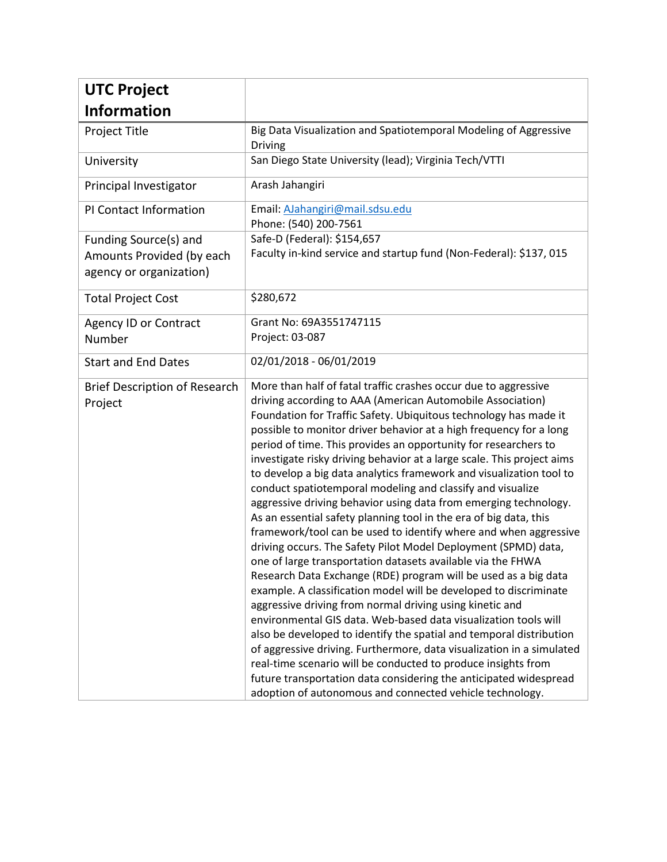| <b>UTC Project</b>                                                            |                                                                                                                                                                                                                                                                                                                                                                                                                                                                                                                                                                                                                                                                                                                                                                                                                                                                                                                                                                                                                                                                                                                                                                                                                                                                                                                                                                                                                                                                                                                                  |
|-------------------------------------------------------------------------------|----------------------------------------------------------------------------------------------------------------------------------------------------------------------------------------------------------------------------------------------------------------------------------------------------------------------------------------------------------------------------------------------------------------------------------------------------------------------------------------------------------------------------------------------------------------------------------------------------------------------------------------------------------------------------------------------------------------------------------------------------------------------------------------------------------------------------------------------------------------------------------------------------------------------------------------------------------------------------------------------------------------------------------------------------------------------------------------------------------------------------------------------------------------------------------------------------------------------------------------------------------------------------------------------------------------------------------------------------------------------------------------------------------------------------------------------------------------------------------------------------------------------------------|
| <b>Information</b>                                                            |                                                                                                                                                                                                                                                                                                                                                                                                                                                                                                                                                                                                                                                                                                                                                                                                                                                                                                                                                                                                                                                                                                                                                                                                                                                                                                                                                                                                                                                                                                                                  |
| Project Title                                                                 | Big Data Visualization and Spatiotemporal Modeling of Aggressive<br>Driving                                                                                                                                                                                                                                                                                                                                                                                                                                                                                                                                                                                                                                                                                                                                                                                                                                                                                                                                                                                                                                                                                                                                                                                                                                                                                                                                                                                                                                                      |
| University                                                                    | San Diego State University (lead); Virginia Tech/VTTI                                                                                                                                                                                                                                                                                                                                                                                                                                                                                                                                                                                                                                                                                                                                                                                                                                                                                                                                                                                                                                                                                                                                                                                                                                                                                                                                                                                                                                                                            |
| Principal Investigator                                                        | Arash Jahangiri                                                                                                                                                                                                                                                                                                                                                                                                                                                                                                                                                                                                                                                                                                                                                                                                                                                                                                                                                                                                                                                                                                                                                                                                                                                                                                                                                                                                                                                                                                                  |
| PI Contact Information                                                        | Email: AJahangiri@mail.sdsu.edu<br>Phone: (540) 200-7561                                                                                                                                                                                                                                                                                                                                                                                                                                                                                                                                                                                                                                                                                                                                                                                                                                                                                                                                                                                                                                                                                                                                                                                                                                                                                                                                                                                                                                                                         |
| Funding Source(s) and<br>Amounts Provided (by each<br>agency or organization) | Safe-D (Federal): \$154,657<br>Faculty in-kind service and startup fund (Non-Federal): \$137, 015                                                                                                                                                                                                                                                                                                                                                                                                                                                                                                                                                                                                                                                                                                                                                                                                                                                                                                                                                                                                                                                                                                                                                                                                                                                                                                                                                                                                                                |
| <b>Total Project Cost</b>                                                     | \$280,672                                                                                                                                                                                                                                                                                                                                                                                                                                                                                                                                                                                                                                                                                                                                                                                                                                                                                                                                                                                                                                                                                                                                                                                                                                                                                                                                                                                                                                                                                                                        |
| <b>Agency ID or Contract</b><br>Number                                        | Grant No: 69A3551747115<br>Project: 03-087                                                                                                                                                                                                                                                                                                                                                                                                                                                                                                                                                                                                                                                                                                                                                                                                                                                                                                                                                                                                                                                                                                                                                                                                                                                                                                                                                                                                                                                                                       |
| <b>Start and End Dates</b>                                                    | 02/01/2018 - 06/01/2019                                                                                                                                                                                                                                                                                                                                                                                                                                                                                                                                                                                                                                                                                                                                                                                                                                                                                                                                                                                                                                                                                                                                                                                                                                                                                                                                                                                                                                                                                                          |
| <b>Brief Description of Research</b><br>Project                               | More than half of fatal traffic crashes occur due to aggressive<br>driving according to AAA (American Automobile Association)<br>Foundation for Traffic Safety. Ubiquitous technology has made it<br>possible to monitor driver behavior at a high frequency for a long<br>period of time. This provides an opportunity for researchers to<br>investigate risky driving behavior at a large scale. This project aims<br>to develop a big data analytics framework and visualization tool to<br>conduct spatiotemporal modeling and classify and visualize<br>aggressive driving behavior using data from emerging technology.<br>As an essential safety planning tool in the era of big data, this<br>framework/tool can be used to identify where and when aggressive<br>driving occurs. The Safety Pilot Model Deployment (SPMD) data,<br>one of large transportation datasets available via the FHWA<br>Research Data Exchange (RDE) program will be used as a big data<br>example. A classification model will be developed to discriminate<br>aggressive driving from normal driving using kinetic and<br>environmental GIS data. Web-based data visualization tools will<br>also be developed to identify the spatial and temporal distribution<br>of aggressive driving. Furthermore, data visualization in a simulated<br>real-time scenario will be conducted to produce insights from<br>future transportation data considering the anticipated widespread<br>adoption of autonomous and connected vehicle technology. |